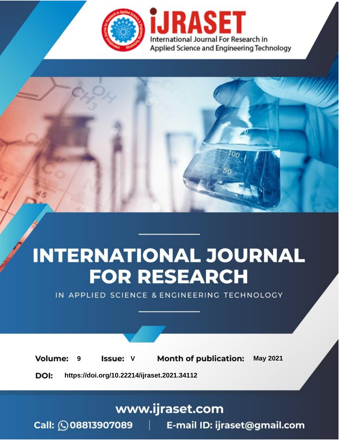

# **INTERNATIONAL JOURNAL FOR RESEARCH**

IN APPLIED SCIENCE & ENGINEERING TECHNOLOGY

**Month of publication: Volume: May 2021 Issue: V** 9

DOI: https://doi.org/10.22214/ijraset.2021.34112

www.ijraset.com

Call: 008813907089 | E-mail ID: ijraset@gmail.com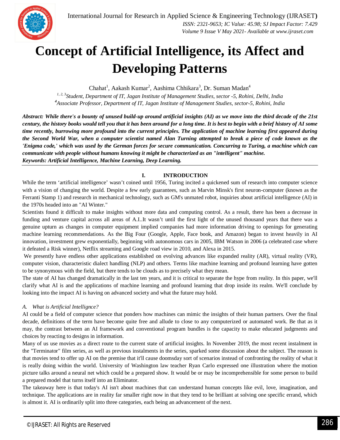

### **Concept of Artificial Intelligence, its Affect and Developing Patterns**

Chahat<sup>1</sup>, Aakash Kumar<sup>2</sup>, Aashima Chhikara<sup>3</sup>, Dr. Suman Madan<sup>4</sup>

*1, 2, 3Student, Department of IT, Jagan Institute of Management Studies, sector -5, Rohini, Delhi, India <sup>4</sup>Associate Professor, Department of IT, Jagan Institute of Management Studies, sector-5, Rohini, India*

*Abstract: While there's a bounty of unused build-up around artificial insights (AI) as we move into the third decade of the 21st century, the history books would tell you that it has been around for a long time. It is best to begin with a brief history of AI some time recently, burrowing more profound into the current principles. The application of machine learning first appeared during the Second World War, when a computer scientist named Alan Turning attempted to break a piece of code known as the 'Enigma code,' which was used by the German forces for secure communication. Concurring to Turing, a machine which can communicate with people without humans knowing it might be characterized as an "intelligent" machine. Keywords: Artificial Intelligence, Machine Learning, Deep Learning.*

#### **I. INTRODUCTION**

While the term 'artificial intelligence' wasn't coined until 1956, Turing incited a quickened sum of research into computer science with a vision of changing the world. Despite a few early guarantees, such as Marvin Minsk's first neuron-computer (known as the Ferranti Stamp 1) and research in mechanical technology, such as GM's unmated robot, inquiries about artificial intelligence (AI) in the 1970s headed into an "AI Winter."

Scientists found it difficult to make insights without more data and computing control. As a result, there has been a decrease in funding and venture capital across all areas of A.I..It wasn't until the first light of the unused thousand years that there was a genuine upturn as changes in computer equipment implied companies had more information driving to openings for generating machine learning recommendations. As the Big Four (Google, Apple, Face book, and Amazon) began to invest heavily in AI innovation, investment grew exponentially, beginning with autonomous cars in 2005, IBM Watson in 2006 (a celebrated case where it defeated a Risk winner), Netflix streaming and Google road view in 2010, and Alexa in 2015.

We presently have endless other applications established on evolving advances like expanded reality (AR), virtual reality (VR), computer vision, characteristic dialect handling (NLP) and others. Terms like machine learning and profound learning have gotten to be synonymous with the field, but there tends to be clouds as to precisely what they mean.

The state of AI has changed dramatically in the last ten years, and it is critical to separate the hype from reality. In this paper, we'll clarify what AI is and the applications of machine learning and profound learning that drop inside its realm. We'll conclude by looking into the impact AI is having on advanced society and what the future may hold.

#### *A. What is Artificial Intellignce?*

AI could be a field of computer science that ponders how machines can mimic the insights of their human partners. Over the final decade, definitions of the term have become quite free and allude to close to any computerized or automated work. Be that as it may, the contrast between an AI framework and conventional program bundles is the capacity to make educated judgments and choices by reacting to designs in information.

Many of us use movies as a direct route to the current state of artificial insights. In November 2019, the most recent instalment in the "Terminator" film series, as well as previous instalments in the series, sparked some discussion about the subject. The reason is that movies tend to offer up AI on the premise that it'll cause doomsday sort of scenarios instead of confronting the reality of what it is really doing within the world. University of Washington law teacher Ryan Carlo expressed one illustration where the motion picture talks around a neural net which could be a prepared show. It would be or may be incomprehensible for some person to build a prepared model that turns itself into an Eliminator.

The takeaway here is that today's AI isn't about machines that can understand human concepts like evil, love, imagination, and technique. The applications are in reality far smaller right now in that they tend to be brilliant at solving one specific errand, which is almost it. AI is ordinarily split into three categories, each being an advancement of the next.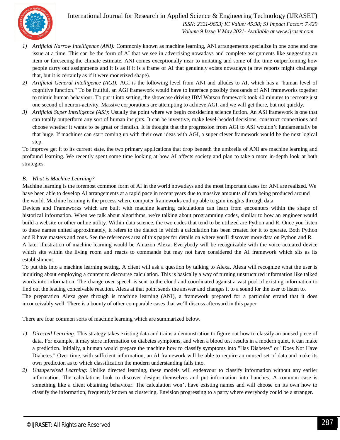

 *Volume 9 Issue V May 2021- Available at www.ijraset.com*

- *1) Artificial Narrow Intelligence (ANI):* Commonly known as machine learning, ANI arrangements specialize in one zone and one issue at a time. This can be the form of AI that we see in advertising nowadays and complete assignments like suggesting an item or foreseeing the climate estimate. ANI comes exceptionally near to imitating and some of the time outperforming how people carry out assignments and it is as if it is a frame of AI that genuinely exists nowadays (a few reports might challenge that, but it is certainly as if it were monetized shape).
- *2) Artificial General Intelligence (AGI):* AGI is the following level from ANI and alludes to AI, which has a "human level of cognitive function." To be fruitful, an AGI framework would have to interface possibly thousands of ANI frameworks together to mimic human behaviour. To put it into setting, the showcase driving IBM Watson framework took 40 minutes to recreate just one second of neuron-activity. Massive corporations are attempting to achieve AGI, and we will get there, but not quickly.
- *3) Artificial Super Intelligence (ASI):* Usually the point where we begin considering science fiction. An ASI framework is one that can totally outperform any sort of human insights. It can be inventive, make level-headed decisions, construct connections and choose whether it wants to be great or fiendish. It is thought that the progression from AGI to ASI wouldn't fundamentally be that huge. If machines can start coming up with their own ideas with AGI, a super clever framework would be the next logical step.

To improve get it to its current state, the two primary applications that drop beneath the umbrella of ANI are machine learning and profound learning. We recently spent some time looking at how AI affects society and plan to take a more in-depth look at both strategies.

#### *B. What is Machine Learning?*

Machine learning is the foremost common form of AI in the world nowadays and the most important cases for ANI are realized. We have been able to develop AI arrangements at a rapid pace in recent years due to massive amounts of data being produced around the world. Machine learning is the process where computer frameworks end up able to gain insights through data.

Devices and Frameworks which are built with machine learning calculations can learn from encounters within the shape of historical information. When we talk about algorithms, we're talking about programming codes, similar to how an engineer would build a website or other online utility. Within data science, the two codes that tend to be utilized are Python and R. Once you listen to these names united approximately, it refers to the dialect in which a calculation has been created for it to operate. Both Python and R have masters and cons. See the references area of this paper for details on where you'll discover more data on Python and R.

A later illustration of machine learning would be Amazon Alexa. Everybody will be recognizable with the voice actuated device which sits within the living room and reacts to commands but may not have considered the AI framework which sits as its establishment.

To put this into a machine learning setting. A client will ask a question by talking to Alexa. Alexa will recognize what the user is inquiring about employing a content to discourse calculation. This is basically a way of turning unstructured information like talked words into information. The change over speech is sent to the cloud and coordinated against a vast pool of existing information to find out the leading conceivable reaction. Alexa at that point sends the answer and changes it to a sound for the user to listen to.

The preparation Alexa goes through is machine learning (ANI), a framework prepared for a particular errand that it does inconceivably well. There is a bounty of other comparable cases that we'll discuss afterward in this paper.

There are four common sorts of machine learning which are summarized below.

- *1) Directed Learning:* This strategy takes existing data and trains a demonstration to figure out how to classify an unused piece of data. For example, it may store information on diabetes symptoms, and when a blood test results in a modern quiet, it can make a prediction. Initially, a human would prepare the machine how to classify symptoms into "Has Diabetes" or "Does Not Have Diabetes." Over time, with sufficient information, an AI framework will be able to require an unused set of data and make its own prediction as to which classification the modern understanding falls into.
- *2) Unsupervised Learning:* Unlike directed learning, these models will endeavour to classify information without any earlier information. The calculations look to discover designs themselves and put information into bunches. A common case is something like a client obtaining behaviour. The calculation won't have existing names and will choose on its own how to classify the information, frequently known as clustering. Envision progressing to a party where everybody could be a stranger.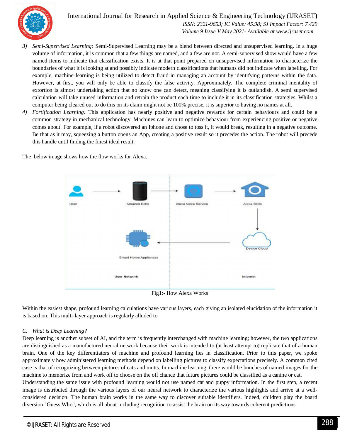

International Journal for Research in Applied Science & Engineering Technology (IJRASET**)**  *ISSN: 2321-9653; IC Value: 45.98; SJ Impact Factor: 7.429*

 *Volume 9 Issue V May 2021- Available at www.ijraset.com*

- *3) Semi-Supervised Learning:* Semi-Supervised Learning may be a blend between directed and unsupervised learning. In a huge volume of information, it is common that a few things are named, and a few are not. A semi-supervised show would have a few named items to indicate that classification exists. It is at that point prepared on unsupervised information to characterize the boundaries of what it is looking at and possibly indicate modern classifications that humans did not indicate when labelling. For example, machine learning is being utilized to detect fraud in managing an account by identifying patterns within the data. However, at first, you will only be able to classify the false activity. Approximately. The complete criminal mentality of extortion is almost undertaking action that no know one can detect, meaning classifying it is outlandish. A semi supervised calculation will take unused information and retrain the product each time to include it in its classification strategies. Whilst a computer being cleared out to do this on its claim might not be 100% precise, it is superior to having no names at all.
- *4) Fortification Learning:* This application has nearly positive and negative rewards for certain behaviours and could be a common strategy in mechanical technology. Machines can learn to optimize behaviour from experiencing positive or negative comes about. For example, if a robot discovered an Iphone and chose to toss it, it would break, resulting in a negative outcome. Be that as it may, squeezing a button opens an App, creating a positive result so it precedes the action. The robot will precede this handle until finding the finest ideal result.

The below image shows how the flow works for Alexa.



Fig1:- How Alexa Works

Within the easiest shape, profound learning calculations have various layers, each giving an isolated elucidation of the information it is based on. This multi-layer approach is regularly alluded to

#### *C. What is Deep Learning?*

Deep learning is another subset of AI, and the term is frequently interchanged with machine learning; however, the two applications are distinguished as a manufactured neural network because their work is intended to (at least attempt to) replicate that of a human brain. One of the key differentiators of machine and profound learning lies in classification. Prior to this paper, we spoke approximately how administered learning methods depend on labelling pictures to classify expectations precisely. A common cited case is that of recognizing between pictures of cats and mutts. In machine learning, there would be bunches of named images for the machine to memorize from and work off to choose on the off chance that future pictures could be classified as a canine or cat. Understanding the same issue with profound learning would not use named cat and puppy information. In the first step, a recent

image is distributed through the various layers of our neural network to characterize the various highlights and arrive at a wellconsidered decision. The human brain works in the same way to discover suitable identifiers. Indeed, children play the board diversion "Guess Who", which is all about including recognition to assist the brain on its way towards coherent predictions.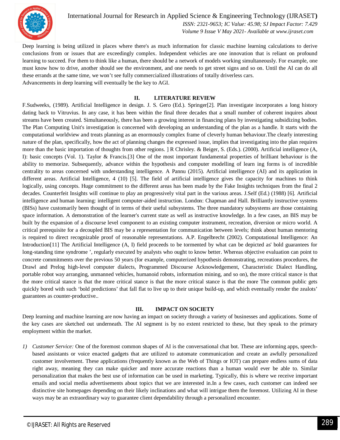

International Journal for Research in Applied Science & Engineering Technology (IJRASET**)**  *ISSN: 2321-9653; IC Value: 45.98; SJ Impact Factor: 7.429*

 *Volume 9 Issue V May 2021- Available at www.ijraset.com*

Deep learning is being utilized in places where there's as much information for classic machine learning calculations to derive conclusions from or issues that are exceedingly complex. Independent vehicles are one innovation that is reliant on profound learning to succeed. For them to think like a human, there should be a network of models working simultaneously. For example, one must know how to drive, another should see the environment, and one needs to get street signs and so on. Until the AI can do all these errands at the same time, we won't see fully commercialized illustrations of totally driverless cars. Advancements in deep learning will eventually be the key to AGI.

#### **II. LITERATURE REVIEW**

F.Sudweeks, (1989). Artificial Intelligence in design. J. S. Gero (Ed.). Springer[2]. Plan investigate incorporates a long history dating back to Vitruvius. In any case, it has been within the final three decades that a small number of coherent inquires about streams have been created. Simultaneously, there has been a growing interest in financing plans by investigating subsidizing bodies. The Plan Computing Unit's investigation is concerned with developing an understanding of the plan as a handle. It starts with the computational worldview and treats planning as an enormously complex frame of cleverly human behaviour.The clearly interesting nature of the plan, specifically, how the act of planning changes the expressed issue, implies that investigating into the plan requires more than the basic importation of thoughts from other regions. ] R Chrisley. & Beiger, S. (Eds.). (2000). Artificial intelligence (A, I): basic concepts (Vol. 1). Taylor & Francis.[3] One of the most important fundamental properties of brilliant behaviour is the ability to memorize. Subsequently, advance within the hypothesis and computer modelling of learn ing forms is of incredible centrality to areas concerned with understanding intelligence. A Pannu (2015). Artificial intelligence (AI) and its application in different areas. Artificial Intelligence, 4 (10) [5]. The field of artificial intelligence gives the capacity for machines to think logically, using concepts. Huge commitment to the different areas has been made by the Fake Insights techniques from the final 2 decades. Counterfeit Insights will continue to play an progressively vital part in the various areas. J.Self (Ed.) (1988) [6]. Artificial intelligence and human learning: intelligent computer-aided instruction. London: Chapman and Hall. Brilliantly instructive systems (BISs) have customarily been thought of in terms of their useful subsystems. The three mandatory subsystems are those containing space information. A demonstration of the learner's current state as well as instructive knowledge. In a few cases, an BIS may be built by the expansion of a discourse level component to an existing computer instrument, recreation, diversion or micro world. A critical prerequisite for a decoupled BIS may be a representation for communication between levels; think about human mentoring is required to direct recognizable proof of reasonable representations. A.P. Engelbrecht (2002). Computational Intelligence: An Introduction[11] The Artificial Intelligence (A, I) field proceeds to be tormented by what can be depicted as' bold guarantees for long-standing time syndrome ', regularly executed by analysts who ought to know better. Whereas objective evaluation can point to concrete commitments over the previous 50 years (for example, computerized hypothesis demonstrating, recreations procedures, the Drawl and Prelog high-level computer dialects, Programmed Discourse Acknowledgement, Characteristic Dialect Handling, portable robot way arranging, unmanned vehicles, humanoid robots, information mining, and so on), the more critical stance is that the more critical stance is that the more critical stance is that the more critical stance is that the more The common public gets quickly bored with such 'bold predictions' that fall flat to live up to their unique build-up, and which eventually render the zealots' guarantees as counter-productive..

#### **III. IMPACT ON SOCIETY**

Deep learning and machine learning are now having an impact on society through a variety of businesses and applications. Some of the key cases are sketched out underneath. The AI segment is by no extent restricted to these, but they speak to the primary employment within the market.

*1) Customer Service:* One of the foremost common shapes of AI is the conversational chat bot. These are informing apps, speechbased assistants or voice enacted gadgets that are utilized to automate communication and create an awfully personalized customer involvement. These applications (frequently known as the Web of Things or IOT) can prepare endless sums of data right away, meaning they can make quicker and more accurate reactions than a human would ever be able to. Similar personalization that makes the best use of information can be used in marketing. Typically, this is where we receive important emails and social media advertisements about topics that we are interested in.In a few cases, each customer can indeed see distinctive site homepages depending on their likely inclinations and what will intrigue them the foremost. Utilizing AI in these ways may be an extraordinary way to guarantee client dependability through a personalized encounter.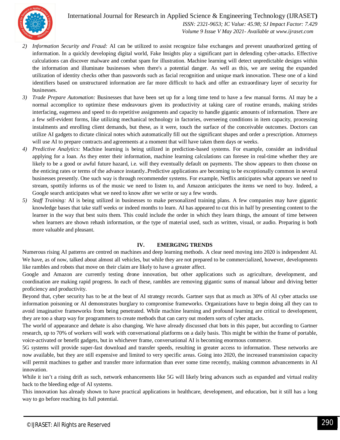

#### International Journal for Research in Applied Science & Engineering Technology (IJRASET**)**

 *ISSN: 2321-9653; IC Value: 45.98; SJ Impact Factor: 7.429 Volume 9 Issue V May 2021- Available at www.ijraset.com*

- *2) Information Security and Fraud:* AI can be utilized to assist recognize false exchanges and prevent unauthorized getting of information. In a quickly developing digital world, Fake Insights play a significant part in defending cyber-attacks. Effective calculations can discover malware and combat spam for illustration. Machine learning will detect unpredictable designs within the information and illuminate businesses when there's a potential danger. As well as this, we are seeing the expanded utilization of identity checks other than passwords such as facial recognition and unique mark innovation. These one of a kind identifiers based on unstructured information are far more difficult to hack and offer an extraordinary layer of security for businesses.
- *3) Trade Prepare Automation:* Businesses that have been set up for a long time tend to have a few manual forms. AI may be a normal accomplice to optimize these endeavours given its productivity at taking care of routine errands, making strides interfacing, eagerness and speed to do repetitive assignments and capacity to handle gigantic amounts of information. There are a few self-evident forms, like utilizing mechanical technology in factories, overseeing conditions in item capacity, processing instalments and enrolling client demands, but these, as it were, touch the surface of the conceivable outcomes. Doctors can utilize AI gadgets to dictate clinical notes which automatically fill out the significant shapes and order a prescription. Attorneys will use AI to prepare contracts and agreements at a moment that will have taken them days or weeks.
- *4) Predictive Analytics:* Machine learning is being utilized in prediction-based systems. For example, consider an individual applying for a loan. As they enter their information, machine learning calculations can foresee in real-time whether they are likely to be a good or awful future hazard, i.e. will they eventually default on payments. The show appears to then choose on the enticing rates or terms of the advance instantly..Predictive applications are becoming to be exceptionally common in several businesses presently. One such way is through recommender systems. For example, Netflix anticipates what appears we need to stream, spottily informs us of the music we need to listen to, and Amazon anticipates the items we need to buy. Indeed, a Google search anticipates what we need to know after we write or say a few words.
- *5) Staff Training:* AI is being utilized in businesses to make personalized training plans. A few companies may have gigantic knowledge bases that take staff weeks or indeed months to learn. AI has appeared to cut this in half by presenting content to the learner in the way that best suits them. This could include the order in which they learn things, the amount of time between when learners are shown rehash information, or the type of material used, such as written, visual, or audio. Preparing is both more valuable and pleasant.

#### **IV. EMERGING TRENDS**

Numerous rising AI patterns are centred on machines and deep learning methods. A clear need moving into 2020 is independent AI. We have, as of now, talked about almost all vehicles, but while they are not prepared to be commercialized, however, developments like rambles and robots that move on their claim are likely to have a greater affect.

Google and Amazon are currently testing drone innovation, but other applications such as agriculture, development, and coordination are making rapid progress. In each of these, rambles are removing gigantic sums of manual labour and driving better proficiency and productivity.

Beyond that, cyber security has to be at the beat of AI strategy records. Gartner says that as much as 30% of AI cyber attacks use information poisoning or AI demonstrates burglary to compromise frameworks. Organizations have to begin doing all they can to avoid imaginative frameworks from being penetrated. While machine learning and profound learning are critical to development, they are too a sharp way for programmers to create methods that can carry out modern sorts of cyber attacks.

The world of appearance and debate is also changing. We have already discussed chat bots in this paper, but according to Gartner research, up to 70% of workers will work with conversational platforms on a daily basis. This might be within the frame of portable, voice-activated or benefit gadgets, but in whichever frame, conversational AI is becoming enormous commerce.

5G systems will provide super-fast download and transfer speeds, resulting in greater access to information. These networks are now available, but they are still expensive and limited to very specific areas. Going into 2020, the increased transmission capacity will permit machines to gather and transfer more information than ever some time recently, making common advancements in AI innovation.

While it isn't a rising drift as such, network enhancements like 5G will likely bring advances such as expanded and virtual reality back to the bleeding edge of AI systems.

This innovation has already shown to have practical applications in healthcare, development, and education, but it still has a long way to go before reaching its full potential.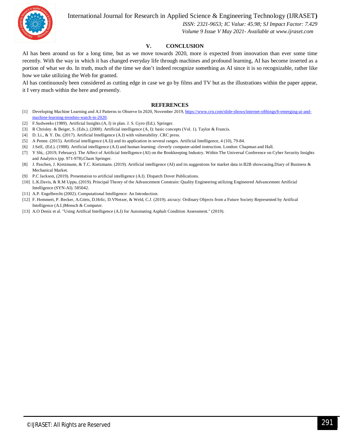International Journal for Research in Applied Science & Engineering Technology (IJRASET**)**



 *ISSN: 2321-9653; IC Value: 45.98; SJ Impact Factor: 7.429 Volume 9 Issue V May 2021- Available at www.ijraset.com*

#### **V. CONCLUSION**

AI has been around us for a long time, but as we move towards 2020, more is expected from innovation than ever some time recently. With the way in which it has changed everyday life through machines and profound learning, AI has become inserted as a portion of what we do. In truth, much of the time we don't indeed recognize something as AI since it is so recognizable, rather like how we take utilizing the Web for granted.

AI has continuously been considered as cutting edge in case we go by films and TV but as the illustrations within the paper appear, it I very much within the here and presently.

#### **REFERENCES**

- [1] Developing Machine Learning and A.I Patterns to Observe In 2020, November 2019, https://www.crn.com/slide-shows/internet-ofthings/6-emerging-ai-andmachine-learning-trendsto-watch-in-2020.
- [2] F.Sudweeks (1989). Artificial Insights (A, I) in plan. J. S. Gyro (Ed.). Springer.
- [3] R Chrisley. & Beiger, S. (Eds.). (2000). Artificial intelligence (A, I): basic concepts (Vol. 1). Taylor & Francis.
- [4] D. Li., & Y. Du. (2017). Artificial Intelligence (A.I) with vulnerability. CRC press.
- [5] A Penne. (2015). Artificial intelligence (A.I)) and its application in several ranges. Artificial Intelligence, 4 (10), 79-84.
- [6] J.Self,. (Ed.). (1988). Artificial intelligence (A.I) and human learning: cleverly computer-aided instruction. London: Chapman and Hall.
- [7] Y Shi,. (2019, February). The Affect of Artificial Intelligence (AI) on the Bookkeeping Industry. Within The Universal Conference on Cyber Security Insights and Analytics (pp. 971-978).Cham Springer.
- [8] J. Paschen, J. Kietzmann, & T.C. Kietzmann. (2019). Artificial intelligence (AI) and its suggestions for market data in B2B showcasing.Diary of Business & Mechanical Market.
- [9] P.C Jackson, (2019). Presentation to artificial intelligence (A.I). Dispatch Dover Publications.
- [10] L.K.Davis, & R.M Uppu, (2019). Principal Theory of the Advancement Constrain: Quality Engineering utilizing Engineered Advancement Artificial Intelligence (SYN-AI). 585042.
- [11] A.P. Engelbrecht (2002). Computational Intelligence: An Introduction.
- [12] F. Hemmert, P. Becker, A.Görts, D.Hrlic, D.VNetzer, & Weld, C.J. (2019). aicracy: Ordinary Objects from a Future Society Represented by Artifical Intelligence (A.I.)Mensch & Computer.
- [13] A.O Deniz et al. "Using Artifical Intelligence (A.I) for Automating Asphalt Condition Assessment." (2019).